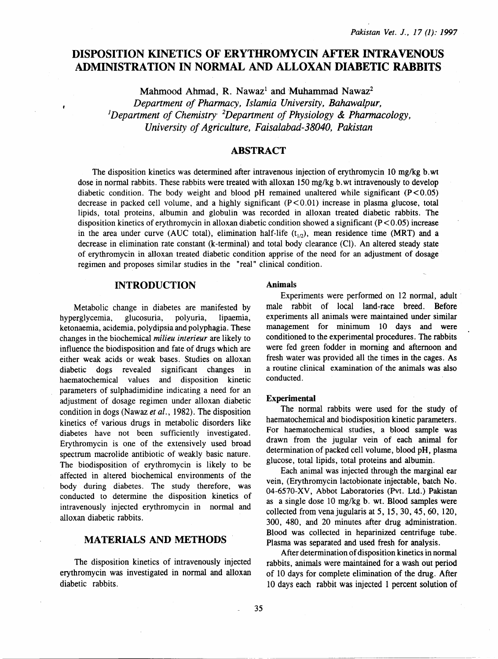# DISPOSITION KINETICS OF ERYTHROMYCIN AFTER INTRA VENOUS ADMINISTRATION IN NORMAL AND ALLOXAN DIABETIC RABBITS

Mahmood Ahmad, R. Nawaz<sup>1</sup> and Muhammad Nawaz<sup>2</sup>

*Depanment of Pharmacy, Islamia University, Bahawalpur, 1 Depanment of Chemistry 2 Depanment of Physiology* & *Pharmacology, University of Agriculture, Faisalabad-38040, Pakistan* 

# **ABSTRACT**

The disposition kinetics was determined after intravenous injection of erythromycin 10 mg/kg b. wt dose in normal rabbits. These rabbits were treated with alloxan 150 mg/kg b. wt intravenously to develop diabetic condition. The body weight and blood  $pH$  remained unaltered while significant ( $P < 0.05$ ) decrease in packed cell volume, and a highly significant  $(P < 0.01)$  increase in plasma glucose, total lipids, total proteins, albumin and globulin was recorded in alloxan treated diabetic rabbits. The disposition kinetics of erythromycin in alloxan diabetic condition showed a significant ( $P < 0.05$ ) increase in the area under curve (AUC total), elimination half-life  $(t_{1/2})$ , mean residence time (MRT) and a decrease in elimination rate constant (k-terminal) and total body clearance (Cl). An altered steady state of erythromycin in alloxan treated diabetic condition apprise of the need for an adjustment of dosage regimen and proposes similar studies in the "real" clinical condition.

# INTRODUCTION

Metabolic change in diabetes are manifested by hyperglycemia, glucosuria, polyuria, lipaemia, ketonaemia, acidemia, polydipsia and polyphagia. These changes in the biochemical *milieu interieur* are likely to influence the biodisposition and fate of drugs which are either weak acids or weak bases. Studies on alloxan diabetic dogs revealed significant changes in haematochemical values and disposition kinetic parameters of sulphadimidine indicating a need for an adjustment of dosage regimen under alloxan diabetic condition in dogs (Nawaz *et al.,* 1982). The disposition kinetics of various drugs in metabolic disorders like diabetes have not been sufficiently investigated. Erythromycin is one of the extensively used broad spectrum macrolide antibiotic of weakly basic nature. The biodisposition of erythromycin is likely to be affected in altered biochemical environments of the body during diabetes. The study therefore, was conducted to determine the disposition kinetics of intravenously injected erythromycin in normal and alloxan diabetic rabbits.

# MATERIALS AND METHODS

The disposition kinetics of intravenously injected erythromycin was investigated in normal and alloxan diabetic rabbits.

#### **Animals**

Experiments were performed on 12 normal, adult male rabbit of local land-race breed. Before experiments all animals were maintained under similar management for minimum 10 days and were conditioned to the experimental procedures. The rabbits were fed green fodder in morning and afternoon and fresh water was provided all the times in the cages. As a routine clinical examination of the animals was also conducted.

#### Experimental

The normal rabbits were used for the study of haematochemical and biodisposition kinetic parameters. For haematochemical studies, a blood sample was drawn from the jugular vein of each animal for determination of packed cell volume, blood pH, plasma glucose, total lipids, total proteins and albumin.

Each animal was injected through the marginal ear vein, (Erythromycin lactobionate injectable, batch No. 04-6570-XV, Abbot Laboratories (Pvt. Ltd.) Pakistan as a single dose 10 mg/kg b. wt. Blood samples were collected from vena jugularis at 5, 15, 30, 45, 60, 120, 300, 480, and 20 minutes after drug administration. Blood was collected in heparinized centrifuge tube. Plasma was separated and used fresh for analysis.

After determination of disposition kinetics in normal rabbits, animals were maintained for a wash out period of 10 days for complete elimination of the drug. After 10 days each rabbit was injected 1 percent solution of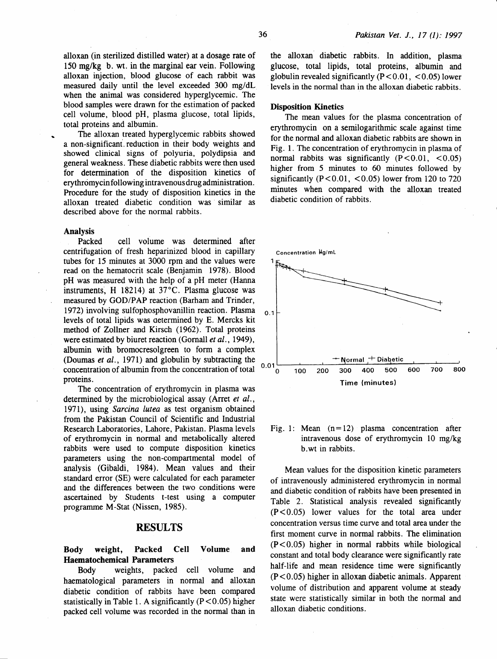alloxan (in sterilized distilled water) at a dosage rate of 150 mg/kg b. wt. in the marginal ear vein. Following alloxan injection, blood glucose of each rabbit was measured daily until the level exceeded 300 mg/dL when the animal was considered hyperglycemic. The blood samples were drawn for the estimation of packed cell volume, blood pH, plasma glucose, total lipids, total proteins and albumin.

The alloxan treated hyperglycemic rabbits showed a non-significant. reduction in their body weights and showed clinical signs of polyuria, polydipsia and general weakness. These diabetic rabbits were then used for determination of the disposition kinetics of erythromycin following intravenous drug administration. Procedure for the study of disposition kinetics in the alloxan treated diabetic condition was similar as described above for the normal rabbits.

#### Analysis

Packed cell volume was determined after centrifugation of fresh heparinized blood in capillary tubes for I5 minutes at 3000 rpm and the values were read on the hematocrit scale (Benjamin I978). Blood pH was measured with the help of a pH meter (Hanna instruments. H  $18214$ ) at  $37^{\circ}$ C. Plasma glucose was measured by GOD/PAP reaction (Barham and Trinder, I972) involving sulfophosphovanillin reaction. Plasma levels of total lipids was aetermined by E. Mercks kit method of Zollner and Kirsch (1962). Total proteins were estimated by biuret reaction (Gomall *et al.,* 1949), albumin with bromocresolgreen to form a complex (Doumas *et al.,* 1971) and globulin by subtracting the concentration of albumin from the concentration of total proteins.

The concentration of erythromycin in plasma was determined by the microbiological assay (Arret *et al.,*  1971), using *Sarcina lutea* as test organism obtained from the Pakistan Council of Scientific and Industrial Research Laboratories, Lahore, Pakistan. Plasma levels of erythromycin in normal and metabolically altered rabbits were used to compute disposition kinetics parameters using the non-compartmental model of analysis (Gibaldi, 1984). Mean values and their standard error (SE) were calculated for each parameter and the differences between the two conditions were ascertained by Students t-test using a computer programme M-Stat (Nissen, I985).

#### RESULTS

#### Body weight, Packed Cell Volume and Haematochemical Parameters

Body weights, packed cell volume and haematological parameters in normal and alloxan diabetic condition of rabbits have been compared statistically in Table 1. A significantly  $(P<0.05)$  higher packed cell volume was recorded in the normal than in

the alloxan diabetic rabbits. In addition, plasma glucose, total lipids, total proteins, albumin and globulin revealed significantly  $(P < 0.01, < 0.05)$  lower levels in the normal than in the alloxan diabetic rabbits.

#### Disposition Kinetics

The mean values for the plasma concentration of erythromycin on a semilogarithmic scale against time for the normal and alloxan diabetic rabbits are shown in Fig. I. The concentration of erythromycin in plasma of normal rabbits was significantly  $(P<0.01, <0.05)$ higher from 5 minutes to 60 minutes followed by significantly  $(P<0.01, <0.05)$  lower from 120 to 720 minutes when compared with the alloxan treated diabetic condition of rabbits.



Fig. 1: Mean  $(n=12)$  plasma concentration after intravenous dose of erythromycin 10 mg/kg b. wt in rabbits.

Mean values for the disposition kinetic parameters of intravenously administered erythromycin in normal and diabetic condition of rabbits have been presented in Table 2. Statistical analysis revealed significantly  $(P < 0.05)$  lower values for the total area under concentration versus time curve and total area under the first moment curve in normal rabbits. The elimination  $(P<0.05)$  higher in normal rabbits while biological constant and total body clearance were significantly rate half-life and mean residence time were significantly  $(P<0.05)$  higher in alloxan diabetic animals. Apparent volume of distribution and apparent volume at steady state were statistically similar in both the normal and alloxan diabetic conditions.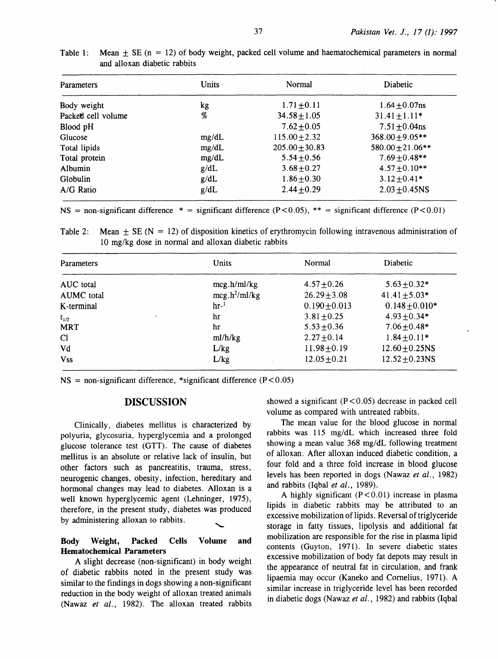| <b>Parameters</b>  | <b>Units</b> | Normal             | Diabetic             |
|--------------------|--------------|--------------------|----------------------|
| Body weight        | kg           | $1.71 \pm 0.11$    | $1.64 \pm 0.07$ ns   |
| Packed cell volume | %            | $34.58 \pm 1.05$   | $31.41 \pm 1.11*$    |
| Blood pH           |              | $7.62 \pm 0.05$    | $7.51 \pm 0.04$ ns   |
| Glucose            | mg/dL        | $115.00 \pm 2.32$  | $368.00 \pm 9.05$ ** |
| Total lipids       | mg/dL        | $205.00 \pm 30.83$ | $580.00 \pm 21.06**$ |
| Total protein      | mg/dL        | $5.54 \pm 0.56$    | $7.69 + 0.48**$      |
| Albumin            | g/dL         | $3.68 \pm 0.27$    | $4.57 \pm 0.10**$    |
| Globulin           | g/dL         | $1.86 \pm 0.30$    | $3.12 \pm 0.41*$     |
| A/G Ratio          | g/dL         | $2.44 + 0.29$      | $2.03 + 0.45$ NS     |

| Table 1: Mean $\pm$ SE (n = 12) of body weight, packed cell volume and haematochemical parameters in normal |  |  |
|-------------------------------------------------------------------------------------------------------------|--|--|
| and alloxan diabetic rabbits                                                                                |  |  |

 $NS =$  non-significant difference  $* =$  significant difference (P < 0.05),  $** =$  significant difference (P < 0.01)

Table 2: Mean  $\pm$  SE (N = 12) of disposition kinetics of erythromycin following intravenous administration of 10 mg/kg dose in normal and alloxan diabetic rabbits

| <b>Parameters</b> | <b>Units</b>    | Normal            | Diabetic            |
|-------------------|-----------------|-------------------|---------------------|
| AUC total         | mcg.h/ml/kg     | $4.57 \pm 0.26$   | $5.63 \pm 0.32*$    |
| AUMC total        | $mcg.h^2/ml/kg$ | $26.29 \pm 3.08$  | $41.41 \pm 5.03*$   |
| K-terminal        | hr <sup>1</sup> | $0.190 \pm 0.013$ | $0.148 \pm 0.010*$  |
| $t_{1/2}$         | hr              | $3.81 \pm 0.25$   | $4.93 \pm 0.34*$    |
| <b>MRT</b>        | hr              | $5.53 \pm 0.36$   | $7.06 \pm 0.48*$    |
| <b>Cl</b>         | ml/h/kg         | $2.27 + 0.14$     | $1.84 \pm 0.11*$    |
| Vd                | L/kg            | $11.98 + 0.19$    | $12.60 \pm 0.25$ NS |
| <b>Vss</b>        | L/kg            | $12.05 \pm 0.21$  | $12.52 + 0.23$ NS   |

 $NS = non-significant difference, *significant different difference (P < 0.05)$ 

## DISCUSSION

Clinically, diabetes mellitus is characterized by polyuria, glycosuria, hyperglycemia and a prolonged glucose tolerance test (GTT). The cause of diabetes mellitus is an absolute or relative lack of insulin, but other factors such as pancreatitis, trauma, stress, neurogenic changes, obesity, infection, hereditary and hormonal changes may lead to diabetes. Alloxan is a well known hyperglycemic agent (Lehninger, 1975), therefore, in the present study, diabetes was produced by administering alloxan to rabbits.

## Body Weight, Packed Cells Volume and Hematochemical Parameters

A slight decrease (non-significant) in body weight of diabetic rabbits noted in the present study was similar to the findings in dogs showing a non-significant reduction in the body weight of alloxan treated animals (Nawaz *et al.,* 1982). The alloxan treated rabbits showed a significant  $(P < 0.05)$  decrease in packed cell volume as compared with untreated rabbits.

The mean value for the blood glucose in normal rabbits was 115 mg/dL which increased three fold showing a mean value 368 mg/dL following treatment of alloxan. After alloxan induced diabetic condition, a four fold and a three fold increase in blood glucose levels has been reported in dogs (Nawaz *et al.*, 1982) and rabbits (Iqbal *et al.,* 1989).

A highly significant  $(P < 0.01)$  increase in plasma lipids in diabetic rabbits may be attributed to an excessive mobilization of lipids. Reversal of triglyceride storage in fatty tissues, lipolysis and additional fat mobilization are responsible. for the rise in plasma lipid contents (Guyton, 1971). In severe diabetic states excessive mobilization of body fat depots may result in the appearance of neutral fat in circulation, and frank lipaemia may occur (Kaneko and Cornelius, 1971). A similar increase in triglyceride level has been recorded in diabetic dogs (Nawaz *et al.,* 1982) and rabbits (Iqbal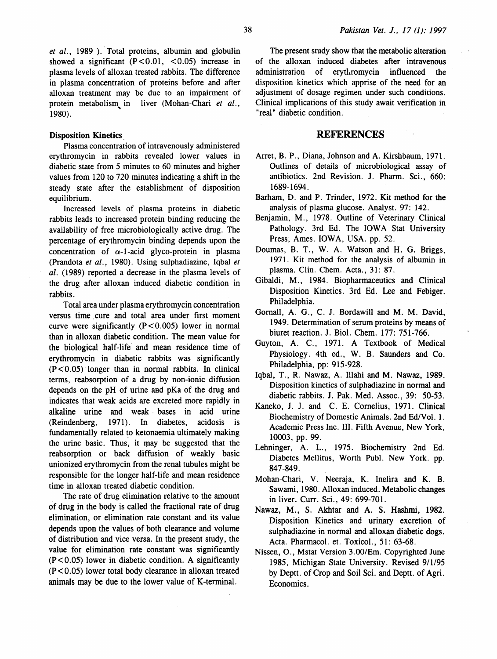et al., 1989 ). Total proteins, albumin and globulin showed a significant  $(P<0.01, <0.05)$  increase in plasma levels of alloxan treated rabbits. The difference in plasma concentration of proteins before and after alloxan treatment may be due to an impairment of protein metabolism, in liver (Mohan-Chari *et al.,*  1980).

### Disposition Kinetics.

Plasma concentration of intravenously administered erythromycin in rabbits revealed lower values in diabetic state from 5 minutes to 60 minutes and higher values from 120 to 720 minutes indicating a shift in the steady state after the establishment of disposition equilibrium.

Increased levels of plasma proteins in diabetic rabbits leads to increased protein binding reducing the availability of free microbiologically active drug. The percentage of erythromycin binding depends upon the concentration of  $\alpha$ -1-acid glyco-protein in plasma (Prandota *et al.,* 1980). Using sulphadiazine, Iqbal *et al.* ( 1989) reported a decrease in the plasma levels of the drug after alloxan induced diabetic condition in rabbits.

Total area under plasma erythromycin concentration versus time cure and total area under first moment curve were significantly  $(P<0.005)$  lower in normal than in alloxan diabetic condition. The mean value for the biological half-life· and mean residence time of erythromycin in diabetic rabbits was significantly  $(P<0.05)$  longer than in normal rabbits. In clinical terms, reabsorption of a drug by non-ionic diffusion depends on the pH of urine and pKa of the drug and indicates that weak acids are excreted more rapidly in alkaline urine and weak . bases in acid urine (Reindenberg, 1971). In diabetes, acidosis is fundamentally related to ketonaemia ultimately making the urine basic. Thus, it may be suggested that the reabsorption or back diffusion of weakly basic unionized erythromycin from the renal tubules might be responsible for the longer half-life and mean residence time in alloxan treated diabetic condition.

The rate of drug elimination relative to the amount of drug in the body is called the fractional rate of drug elimination, or elimination rate constant and its value depends upon the values of both clearance and volume of distribution and vice versa. In the present study, the value for elimination rate constant was significantly  $(P<0.05)$  lower in diabetic condition. A significantly  $(P<0.05)$  lower total body clearance in alloxan treated animals may be due to the lower value of K-terminal.

The present study show that the metabolic alteration of the alloxan induced diabetes after intravenous administration of erythromycin influenced the disposition kinetics which apprise of the need for an adjustment of dosage regimen under such conditions. Clinical implications of this study await verification in "real" diabetic condition.

### **REFERENCES**

- Arret, B. P., Diana, Johnson and A. Kirshbaum, 1971. Outlines of details of microbiological assay of antibiotics. 2nd Revision. J. Pharm. Sci., 660: 1689-1694.
- Barham, D. and P. Trinder, 1972. Kit method for the analysis of plasma glucose. Analyst. 97: 142.
- Benjamin, M., 1978. Outline of Veterinary Clinical Pathology. 3rd Ed. The IOWA Stat University Press, Ames. IOWA, USA. pp. 52.
- Doumas, B. T., W. A. Watson and H. G. Briggs, 1971. Kit method for the analysis of albumin in plasma. Clin. Chern. Acta., 31: 87.
- Gibaldi, M., 1984. Biopharmaceutics and Clinical Disposition Kinetics. 3rd Ed. Lee and Febiger. Philadelphia.
- Gomall, A. G., C. J. Bordawill and M. M. David, 1949. Determination of serum proteins by means of biuret reaction. J. Bioi. Chern. 177: 751-766.
- Guyton, A. C., 1971. A Textbook of Medical Physiology. 4th ed., W. B. Saunders and Co. Philadelphia, pp: 915-928.
- Iqbal, T., R. Nawaz, A. Illahi and M. Nawaz, 1989. Disposition kinetics of sulphadiazine in normal and diabetic rabbits. J. Pak. Med. Assoc., 39: 50-53.
- Kaneko, J. J. and C. E. Cornelius, 1971. Clinical Biochemistry of Domestic Animals. 2nd Ed/Vol. 1. Academic Press Inc. III. Fifth Avenue, New York, 10003, pp. 99.
- Lehninger, A. L., 1975. Biochemistry 2nd Ed. Diabetes Mellitus, Worth Publ. New York. pp. 847-849.
- Mohan-Chari, V. Neeraja, K. lnelira and K. B. Sawami, 1980. Alloxan induced. Metabolic changes in liver. Curr. Sci., 49: 699-701.
- Nawaz, M., S. Akhtar and A. S. Hashmi, 1982. Disposition Kinetics and urinary excretion of sulphadiazine in normal and alloxan diabetic dogs. Acta. Pharmacol. et. Toxicol., 51: 63-68.
- Nissen, 0., Mstat Version 3.00/Em. Copyrighted June 1985, Michigan State University. Revised 9/1/95 by Deptt. of Crop and Soil Sci. and Deptt. of Agri. Economics.